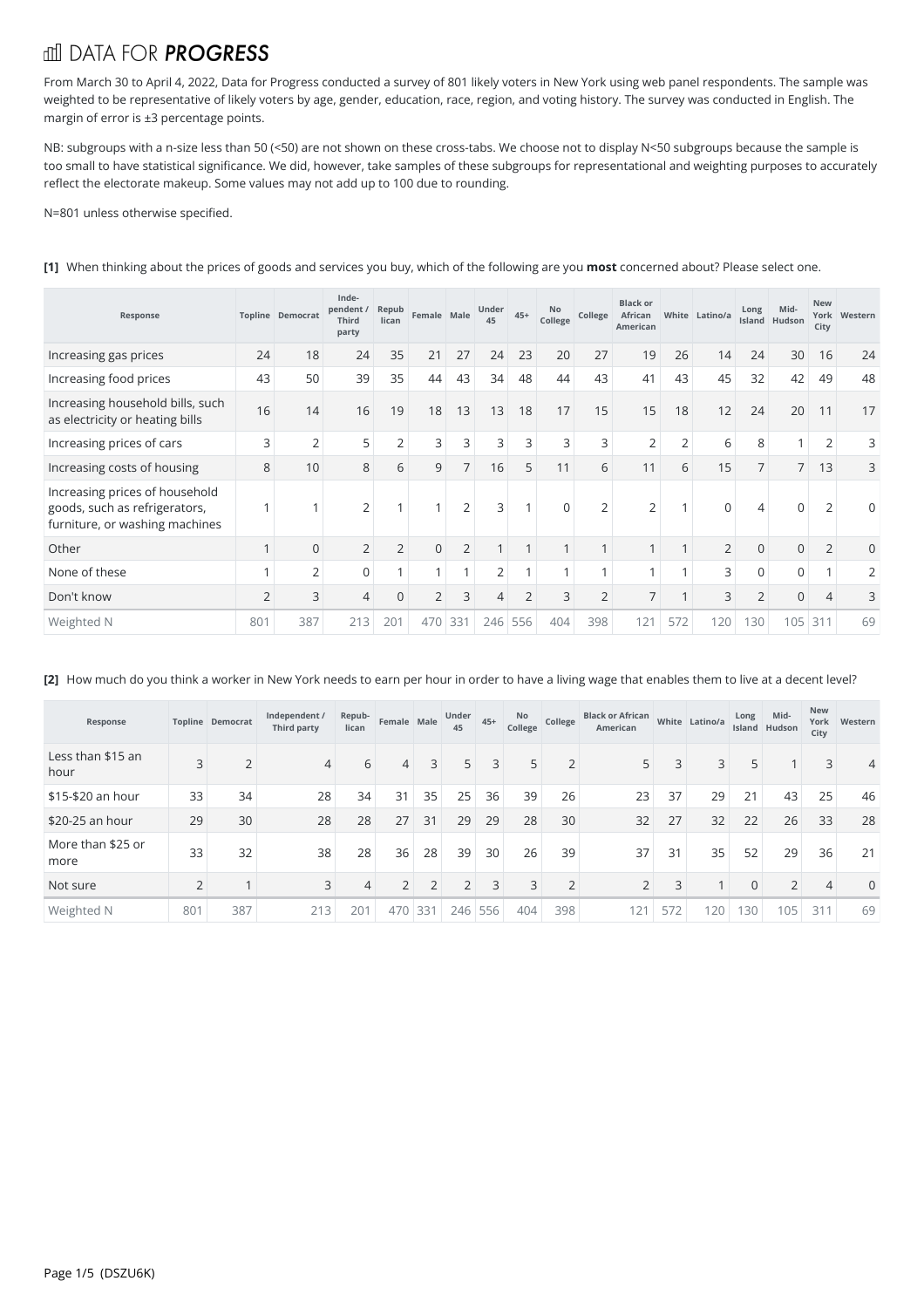## fill DATA FOR **PROGRESS**

From March 30 to April 4, 2022, Data for Progress conducted a survey of 801 likely voters in New York using web panel respondents. The sample was weighted to be representative of likely voters by age, gender, education, race, region, and voting history. The survey was conducted in English. The margin of error is ±3 percentage points.<br>NB: subgroups with a n-size less than 50 (<50) are not shown on these cross-tabs. We choose not to display N<50 subgroups because the sample is

too small to have statistical significance. We did, however, take samples of these subgroups for representational and weighting purposes to accurately reflect the electorate makeup. Some values may not add up to 100 due to rounding.

N=801 unless otherwise specified.

| Response                                                                                          |                | <b>Topline Democrat</b> | Inde-<br>pendent /<br>Third<br>party | Repub<br>lican | Female Male    |                | Under<br>45    | $45+$          | No<br>College  | College        | <b>Black or</b><br>African<br>American |                | White Latino/a | Long           | Mid-<br>Island Hudson | <b>New</b><br>City | York Western |
|---------------------------------------------------------------------------------------------------|----------------|-------------------------|--------------------------------------|----------------|----------------|----------------|----------------|----------------|----------------|----------------|----------------------------------------|----------------|----------------|----------------|-----------------------|--------------------|--------------|
| Increasing gas prices                                                                             | 24             | 18                      | 24                                   | 35             | 21             | 27             | 24             | 23             | 20             | 27             | 19                                     | 26             | 14             | 24             | 30                    | 16                 | 24           |
| Increasing food prices                                                                            | 43             | 50                      | 39                                   | 35             | 44             | 43             | 34             | 48             | 44             | 43             | 41                                     | 43             | 45             | 32             | 42                    | 49                 | 48           |
| Increasing household bills, such<br>as electricity or heating bills                               | 16             | 14                      | 16                                   | 19             | 18             | 13             | 13             | 18             | 17             | 15             | 15                                     | 18             | 12             | 24             | 20                    | 11                 | 17           |
| Increasing prices of cars                                                                         | 3              | $\overline{2}$          | 5                                    | $\overline{2}$ | 3              | 3              | 3              | 3              | 3              | 3              | 2                                      | $\overline{2}$ | 6              | 8              | 4                     | 2                  | 3            |
| Increasing costs of housing                                                                       | 8              | 10                      | 8                                    | 6              | 9              | $\overline{7}$ | 16             | 5              | 11             | 6              | 11                                     | 6              | 15             | $\overline{7}$ | 7 <sup>1</sup>        | 13                 | 3            |
| Increasing prices of household<br>goods, such as refrigerators,<br>furniture, or washing machines | 4              |                         | 2                                    |                |                | $\overline{2}$ | 3              |                | $\overline{0}$ | $\overline{2}$ | 2                                      | 1              | 0              | 4              | 0                     | 2                  | $\mathbf 0$  |
| Other                                                                                             | $\mathbf{1}$   | $\overline{0}$          | $\overline{2}$                       | $\overline{2}$ | $\mathbf 0$    | $\overline{2}$ | $\mathbf{1}$   |                |                |                |                                        | $\mathbf{1}$   | $\overline{2}$ | $\Omega$       | 0                     | $\overline{2}$     | $\Omega$     |
| None of these                                                                                     | 1              | $\overline{2}$          | $\mathbf 0$                          |                | $\overline{ }$ | $\overline{ }$ | 2              |                |                |                |                                        | $\mathbf{1}$   | 3              | $\Omega$       | 0                     |                    | 2            |
| Don't know                                                                                        | $\overline{2}$ | 3                       | $\overline{4}$                       | $\overline{0}$ | $\overline{2}$ | 3              | $\overline{4}$ | $\overline{2}$ | 3              | $\overline{2}$ | $\overline{7}$                         | $\overline{1}$ | 3              | $\overline{2}$ | 0                     | 4                  | 3            |
| Weighted N                                                                                        | 801            | 387                     | 213                                  | 201            | 470            | 331            | 246            | 556            | 404            | 398            | 121                                    | 572            | 120            | 130            | 105                   | 311                | 69           |

**[1]** When thinking about the prices of goods and services you buy, which of the following are you **most** concerned about? Please select one.

**[2]** How much do you think a worker in New York needs to earn per hour in order to have a living wage that enables them to live at a decent level?

| Response                  |     | Topline Democrat | Independent /<br>Third party | Repub-<br>lican | Female Male    |                | Under<br>45    | $45+$ | No<br>College | College        | <b>Black or African</b><br>American |     | White Latino/a | Long        | Mid-<br>Island Hudson | <b>New</b><br>York<br>City | Western  |
|---------------------------|-----|------------------|------------------------------|-----------------|----------------|----------------|----------------|-------|---------------|----------------|-------------------------------------|-----|----------------|-------------|-----------------------|----------------------------|----------|
| Less than \$15 an<br>hour |     |                  | $\overline{4}$               | 6               | $\overline{4}$ | $\overline{3}$ | 5              | 3     | 5             | $\overline{2}$ |                                     | 3   | 3              | 5           |                       | 3                          | 4        |
| \$15-\$20 an hour         | 33  | 34               | 28                           | 34              | 31             | 35             | 25             | 36    | 39            | 26             | 23                                  | 37  | 29             | 21          | 43                    | 25                         | 46       |
| \$20-25 an hour           | 29  | 30               | 28                           | 28              | 27             | 31             | 29             | 29    | 28            | 30             | 32                                  | 27  | 32             | 22          | 26                    | 33                         | 28       |
| More than \$25 or<br>more | 33  | 32               | 38                           | 28              | 36             | 28             | 39             | 30    | 26            | 39             | 37                                  | 31  | 35             | 52          | 29                    | 36                         | 21       |
| Not sure                  |     |                  | 3                            | $\overline{4}$  | $2^{\circ}$    | $\overline{2}$ | $\overline{2}$ | 3     | 3             | $\overline{2}$ | $\mathcal{L}$                       | 3   |                | $\mathbf 0$ | C.<br>∠               | $\overline{4}$             | $\Omega$ |
| Weighted N                | 801 | 387              | 213                          | 201             | 470            | 331            | 246            | 556   | 404           | 398            | 121                                 | 572 | 120            | 130         | 105                   | 311                        | 69       |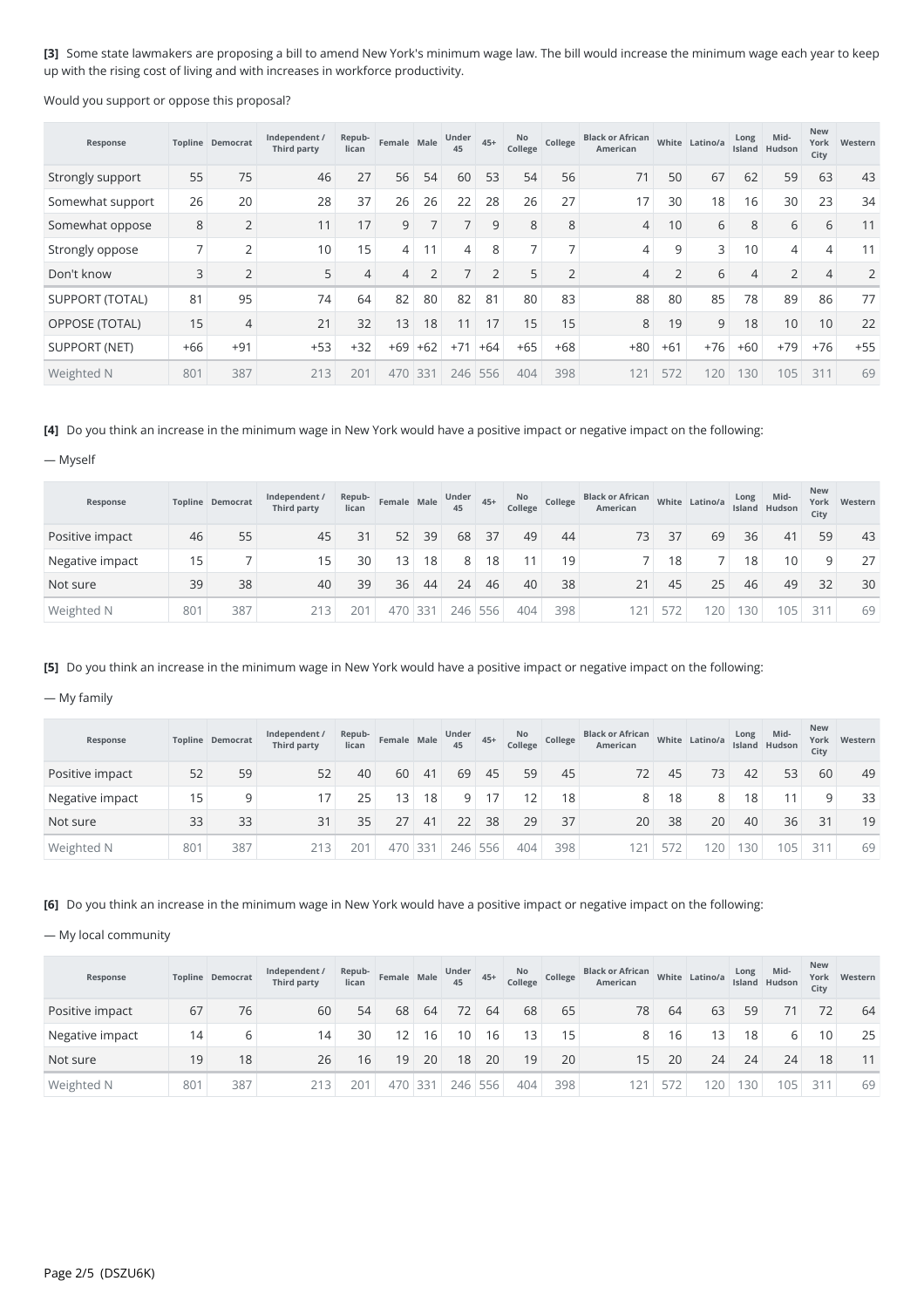**[3]** Some state lawmakers are proposing a bill to amend New York's minimum wage law. The bill would increase the minimum wage each year to keep up with the rising cost of living and with increases in workforce productivity.

Would you support or oppose this proposal?

| Response               |       | <b>Topline Democrat</b> | Independent /<br>Third party | Repub-<br>lican | Female Male |                | Under<br>45    | $45+$          | No<br>College  | College       | <b>Black or African</b><br>American |               | White Latino/a | Long  | Mid-<br>Island Hudson | New<br>York<br>City | Western |
|------------------------|-------|-------------------------|------------------------------|-----------------|-------------|----------------|----------------|----------------|----------------|---------------|-------------------------------------|---------------|----------------|-------|-----------------------|---------------------|---------|
| Strongly support       | 55    | 75                      | 46                           | 27              | 56          | 54             | 60             | 53             | 54             | 56            | 71                                  | 50            | 67             | 62    | 59                    | 63                  | 43      |
| Somewhat support       | 26    | 20                      | 28                           | 37              | 26          | 26             | 22             | 28             | 26             | 27            | 17                                  | 30            | 18             | 16    | 30                    | 23                  | 34      |
| Somewhat oppose        | 8     | $\bigcap$               | 11                           | 17              | 9           | ⇁              |                | 9              | 8              | 8             | 4                                   | 10            | 6              | 8     | 6                     | 6                   | 11      |
| Strongly oppose        |       | $\mathcal{D}$           | 10                           | 15              | 4           |                | 4              | 8              | $\overline{ }$ |               | 4                                   | 9             | 3              | 10    | 4                     | 4                   | 11      |
| Don't know             | 3     | $\overline{2}$          | 5                            | $\overline{4}$  | 4           | $\overline{2}$ | $\overline{ }$ | $\overline{2}$ | 5              | $\mathcal{D}$ | 4                                   | $\mathcal{D}$ | 6              |       | $\overline{2}$        |                     |         |
| <b>SUPPORT (TOTAL)</b> | 81    | 95                      | 74                           | 64              | 82          | 80             | 82             | 81             | 80             | 83            | 88                                  | 80            | 85             | 78    | 89                    | 86                  | 77      |
| <b>OPPOSE (TOTAL)</b>  | 15    | 4                       | 21                           | 32              | 13          | 18             | 11             | 17             | 15             | 15            | 8                                   | 19            | 9              | 18    | 10                    | 10                  | 22      |
| SUPPORT (NET)          | $+66$ | $+91$                   | $+53$                        | $+32$           | $+69$       | $+62$          | $+71$          | $+64$          | $+65$          | $+68$         | $+80$                               | $+61$         | $+76$          | $+60$ | $+79$                 | $+76$               | $+55$   |
| Weighted N             | 801   | 387                     | 213                          | 201             | 470         | 331            | 246            | 556            | 404            | 398           | 12'                                 | 572           | 120            | 130   | 105                   | 311                 | 69      |

## **[4]** Do you think an increase in the minimum wage in New York would have a positive impact or negative impact on the following:

— Myself

| Response        |     | <b>Topline Democrat</b> | Independent /<br>Third party | Repub-<br>lican | Female Male |                 | Under<br>45 | $45+$ | No<br>College | College         | <b>Black or African</b><br>American |     | White Latino/a | Long | Mid-<br>Island Hudson | New<br>City | York Western |
|-----------------|-----|-------------------------|------------------------------|-----------------|-------------|-----------------|-------------|-------|---------------|-----------------|-------------------------------------|-----|----------------|------|-----------------------|-------------|--------------|
| Positive impact | 46  | 55                      | 45                           | 31              | 52          | 39              | 68          | 37    | 49            | 44              | 73                                  | 37  | 69             | 36   | 41                    | 59          | 43           |
| Negative impact | 15  |                         | 15 <sub>1</sub>              | 30              | 13          | 18 <sub>1</sub> | 8           | 18    | 11            | 19 <sub>1</sub> |                                     | 18  |                | 18   | 10                    | 9           | 27           |
| Not sure        | 39  | 38                      | 40                           | 39              | 36          | 44              | 24          | 46    | 40            | 38              |                                     | 45  | 25             | 46   | 49                    | 32          | 30           |
| Weighted N      | 801 | 387                     | 213                          | 201             | 470         | 331             | 246         | 556   | 404           | 398             |                                     | 572 | 20             | 130  | 105                   | 211         | 69           |

**[5]** Do you think an increase in the minimum wage in New York would have a positive impact or negative impact on the following:

— My family

| Response        |     | <b>Topline Democrat</b> | Independent /<br>Third party | Repub-<br>lican | Female Male |     | Under<br>45 | $45+$ | No<br>College | College         | <b>Black or African</b><br>American |     | White Latino/a | Long | Mid-<br>Island Hudson | <b>New</b><br>York<br>City | Western |
|-----------------|-----|-------------------------|------------------------------|-----------------|-------------|-----|-------------|-------|---------------|-----------------|-------------------------------------|-----|----------------|------|-----------------------|----------------------------|---------|
| Positive impact | 52  | 59                      | 52                           | 40              | 60          | 41  | 69          | 45    | 59            | 45              | 72                                  | 45  | 73             | 42   | 53                    | 60                         | 49      |
| Negative impact | 15  | Q                       |                              | 25              | 13          | 18  | 9           | 17    | 12            | 18 <sub>1</sub> |                                     | 18  | 8              | 18   |                       | $\Omega$                   | 33      |
| Not sure        | 33  | 33                      | 31                           | 35              | 27          | 41  | 22          | 38    | 29            | 37              | 20                                  | 38  | 20             | 40   | 36                    | 31                         | 19      |
| Weighted N      | 801 | 387                     | 213                          | 201             | 470         | 331 | 246         | 556   | 404           | 398             |                                     | 572 | 20             | 130  | 105                   | 211                        | 69      |

**[6]** Do you think an increase in the minimum wage in New York would have a positive impact or negative impact on the following:

— My local community

| Response        |     | <b>Topline Democrat</b> | Independent /<br>Third party | Repub-<br>lican | Female Male       |     | Under<br>45     | $45+$ | No<br>College   | College         | <b>Black or African</b><br>American |     | White Latino/a | Long            | Mid-<br>Island Hudson | <b>New</b><br>City | York Western |
|-----------------|-----|-------------------------|------------------------------|-----------------|-------------------|-----|-----------------|-------|-----------------|-----------------|-------------------------------------|-----|----------------|-----------------|-----------------------|--------------------|--------------|
| Positive impact | 67  | 76                      | 60                           | 54              | 68                | 64  | 72              | 64    | 68              | 65              | 78                                  | 64  | 63             | 59              |                       | 72                 | 64           |
| Negative impact | 14  | 6                       | 14                           | 30              | $12 \overline{ }$ | 16  | 10 <sup>1</sup> | 16    | 13 <sub>1</sub> | 15 <sub>1</sub> | 8                                   | 16  | 13             | 18 <sub>1</sub> | 6                     | 10                 | 25           |
| Not sure        | 19  | 18                      | 26                           | 16              | 19                | 20  | 18              | 20    | 19              | 20              | 15                                  | 20  | 24             | 24              | 24                    | 18                 | 11           |
| Weighted N      | 801 | 387                     | 213                          | 201             | 470               | 331 | 246             | 556   | 404             | 398             |                                     | 572 | 20             | 130             | 105                   | 211                | 69           |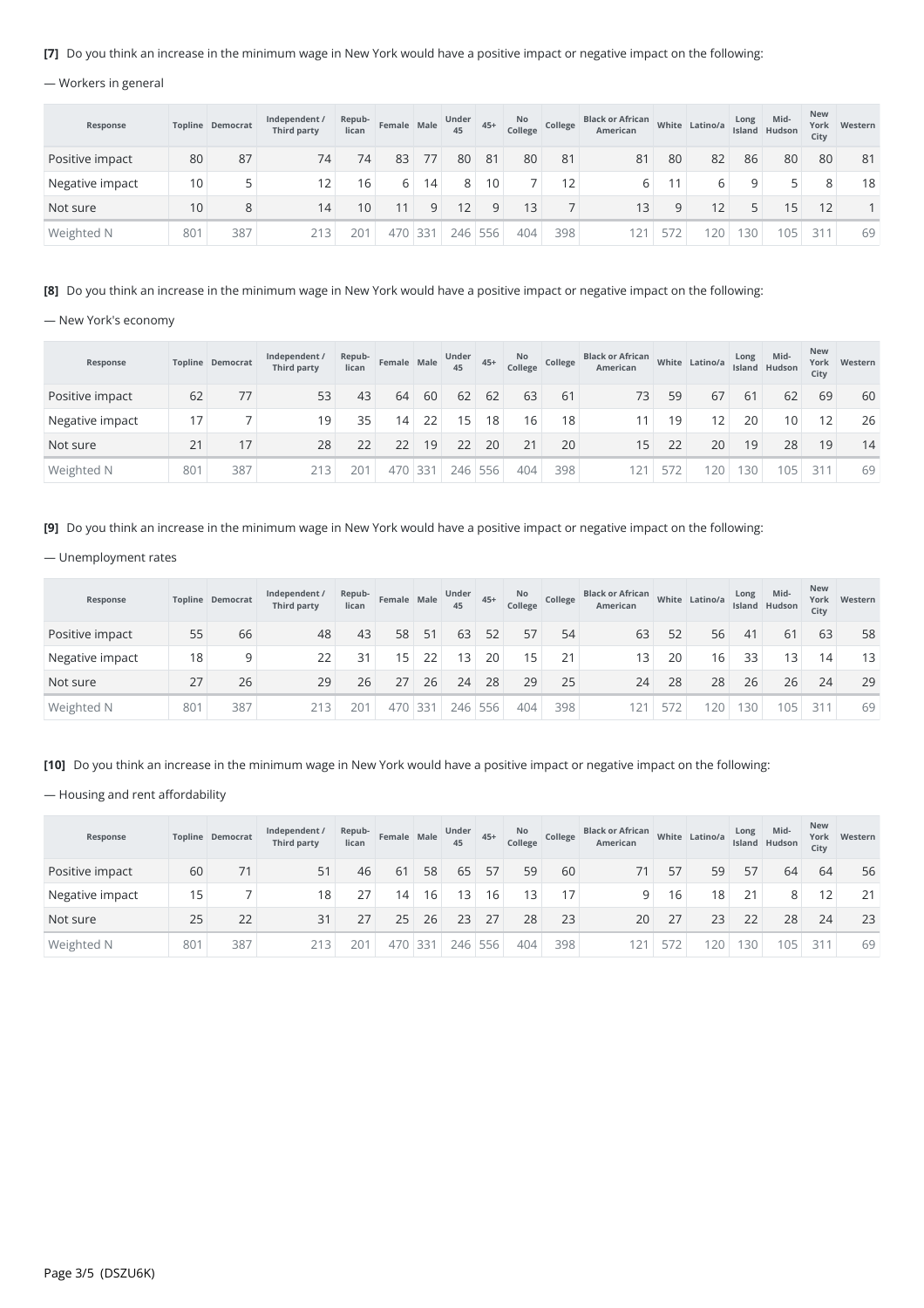### **[7]** Do you think an increase in the minimum wage in New York would have a positive impact or negative impact on the following:

## — Workers in general

| Response        |     | <b>Topline Democrat</b> | Independent /<br>Third party | Repub-<br>lican | Female Male |                 | Under<br>45     | $45+$   | <b>No</b><br>College | College         | <b>Black or African</b><br>American |     | White Latino/a | Long | Mid-<br>Island Hudson | <b>New</b><br>City | York Western |
|-----------------|-----|-------------------------|------------------------------|-----------------|-------------|-----------------|-----------------|---------|----------------------|-----------------|-------------------------------------|-----|----------------|------|-----------------------|--------------------|--------------|
| Positive impact | 80  | 87                      | 74                           | 74              | 83          | 77              | 80              | 81      | 80                   | 81              | 81                                  | 80  | 82             | 86   | 80                    | 80                 | 81           |
| Negative impact | 10  |                         | $12 \overline{ }$            | 16              | 6           | 14 <sub>1</sub> | 8               | 10      |                      | 12 <sub>1</sub> | 6.                                  | 11  | 6              | Q    |                       | 8                  | 18           |
| Not sure        | 10  | 8                       | 14                           | 10              |             | q               | 12 <sup>°</sup> | q       | 13                   |                 | 13                                  | a   | 12             |      | 15                    | 12                 |              |
| Weighted N      | 801 | 387                     | 213                          | 201             | 470         | 331             |                 | 246 556 | 404                  | 398             |                                     | 572 | 20             | 130  | 105                   | 311                | 69           |

**[8]** Do you think an increase in the minimum wage in New York would have a positive impact or negative impact on the following:

— New York's economy

| Response        |     | <b>Topline Democrat</b> | Independent /<br>Third party | Repub-<br>lican | Female Male |         | Under<br>45 | $45+$           | No<br>College | College | <b>Black or African</b><br>American |     | White Latino/a | Long | Mid-<br>Island Hudson | <b>New</b><br>City | York Western |
|-----------------|-----|-------------------------|------------------------------|-----------------|-------------|---------|-------------|-----------------|---------------|---------|-------------------------------------|-----|----------------|------|-----------------------|--------------------|--------------|
| Positive impact | 62  | 77                      | 53                           | 43              | 64          | 60      | 62          | 62              | 63            | 61      | 73                                  | 59  | 67             | 61   | 62                    | 69                 | 60           |
| Negative impact | 17  |                         | 19 <sub>1</sub>              | 35 <sub>1</sub> | 14          | 22      | 15          | 18 <sup>1</sup> | 16            | 18      |                                     | 19  | 12             | 20   | 10                    | 12 <sub>1</sub>    | 26           |
| Not sure        | 21  | 17                      | 28                           | 22              | 22          | 19      | 22          | 20              | 21            | 20      | 15                                  | 22  | 20             | 19   | 28                    | 19                 | 14           |
| Weighted N      | 801 | 387                     | 213                          | 201             |             | 470 331 | 246         | 556             | 404           | 398     | 121                                 | 572 | 20             | 30   | 105                   | 311                | 69           |

**[9]** Do you think an increase in the minimum wage in New York would have a positive impact or negative impact on the following:

#### — Unemployment rates

| Response        |     | <b>Topline Democrat</b> | Independent /<br>Third party | Repub-<br>lican | Female Male |     | Under<br>45      | $45+$ | No<br>College   | College | <b>Black or African</b><br>American |     | White Latino/a | Long | Mid-<br>Island Hudson | <b>New</b><br>York<br>City | Western |
|-----------------|-----|-------------------------|------------------------------|-----------------|-------------|-----|------------------|-------|-----------------|---------|-------------------------------------|-----|----------------|------|-----------------------|----------------------------|---------|
| Positive impact | 55  | 66                      | 48                           | 43              | 58          | 51  | 63               | 52    | 57              | 54      | 63                                  | 52  | 56             | 41   | 61                    | 63                         | 58      |
| Negative impact | 18  | 9                       | 22                           | 31              | 15          | 22  | 13 <sup>13</sup> | 20    | 15 <sub>1</sub> | 21      |                                     | 20  | 16             | 33   | 13 <sup>1</sup>       | 14 <sub>1</sub>            | 13      |
| Not sure        | 27  | 26                      | 29                           | 26              | 27          | 26  | 24               | 28    | 29              | 25      | 24                                  | 28  | 28             | 26   | 26                    | 24                         | 29      |
| Weighted N      | 801 | 387                     | 213                          | 201             | 470         | 331 | 246              | 556   | 404             | 398     |                                     | 572 | 20             | 30   | 105                   | 311                        | 69      |

[10] Do you think an increase in the minimum wage in New York would have a positive impact or negative impact on the following:

— Housing and rent affordability

| Response        |     | <b>Topline Democrat</b> | Independent /<br>Third party | Repub-<br>lican | Female Male |     | Under<br>45 | $45+$           | <b>No</b><br>College | College | <b>Black or African</b><br>American |     | White Latino/a | Long | Mid-<br>Island Hudson | <b>New</b><br>City | York Western |
|-----------------|-----|-------------------------|------------------------------|-----------------|-------------|-----|-------------|-----------------|----------------------|---------|-------------------------------------|-----|----------------|------|-----------------------|--------------------|--------------|
| Positive impact | 60  | 71                      | 51                           | 46              | 61          | 58  | 65          | 57              | 59                   | 60      |                                     | 57  | 59             | 57   | 64                    | 64                 | 56           |
| Negative impact | 15  |                         | 18                           | 27              | 14          | 16  | 13          | 16 <sub>1</sub> | 13 <sub>1</sub>      | 17      | Q                                   | 16  | 18             | 21   | 8                     | $\overline{2}$     | 21           |
| Not sure        | 25  | 22                      | 31                           | 27              | 25          | 26  | 23          | 27              | 28                   | 23      | 20                                  |     | 23             | 22   | 28                    | 24                 | 23           |
| Weighted N      | 801 | 387                     | 213                          | 201             | 470         | 331 | 246         | 556             | 404                  | 398     |                                     | 5/2 | 20             | 130  | 105                   | 211                | 69           |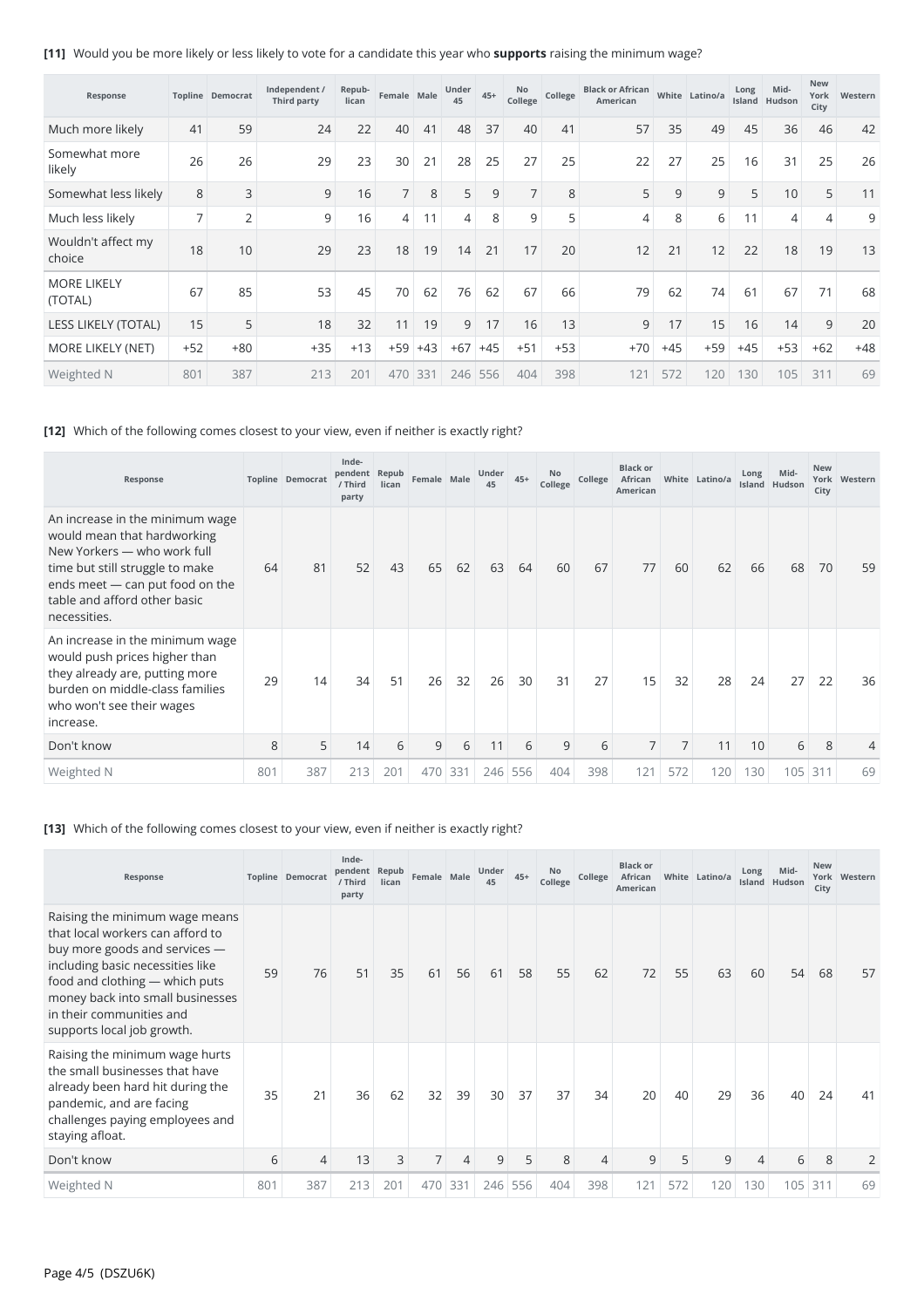**[11]** Would you be more likely or less likely to vote for a candidate this year who **supports** raising the minimum wage?

| Response                      |                | <b>Topline Democrat</b> | Independent /<br>Third party | Repub-<br>lican | Female Male    |       | Under<br>45 | $45+$ | No<br>College  | College | <b>Black or African</b><br>American |       | White Latino/a | Long<br>Island | Mid-<br>Hudson | <b>New</b><br>York<br>City | Western |
|-------------------------------|----------------|-------------------------|------------------------------|-----------------|----------------|-------|-------------|-------|----------------|---------|-------------------------------------|-------|----------------|----------------|----------------|----------------------------|---------|
| Much more likely              | 41             | 59                      | 24                           | 22              | 40             | 41    | 48          | 37    | 40             | 41      | 57                                  | 35    | 49             | 45             | 36             | 46                         | 42      |
| Somewhat more<br>likely       | 26             | 26                      | 29                           | 23              | 30             | 21    | 28          | 25    | 27             | 25      | 22                                  | 27    | 25             | 16             | 31             | 25                         | 26      |
| Somewhat less likely          | 8              | 3                       | 9                            | 16              | $\overline{7}$ | 8     | 5           | 9     | $\overline{7}$ | 8       | 5                                   | 9     | 9              | 5              | 10             | 5                          | 11      |
| Much less likely              | $\overline{7}$ | $\overline{2}$          | 9                            | 16              | 4              | 11    | 4           | 8     | 9              | 5       | 4                                   | 8     | 6              | 11             | 4              | 4                          | 9       |
| Wouldn't affect my<br>choice  | 18             | 10                      | 29                           | 23              | 18             | 19    | 14          | 21    | 17             | 20      | 12                                  | 21    | 12             | 22             | 18             | 19                         | 13      |
| <b>MORE LIKELY</b><br>(TOTAL) | 67             | 85                      | 53                           | 45              | 70             | 62    | 76          | 62    | 67             | 66      | 79                                  | 62    | 74             | 61             | 67             | 71                         | 68      |
| LESS LIKELY (TOTAL)           | 15             | 5                       | 18                           | 32              | 11             | 19    | 9           | 17    | 16             | 13      | 9                                   | 17    | 15             | 16             | 14             | 9                          | 20      |
| <b>MORE LIKELY (NET)</b>      | $+52$          | $+80$                   | $+35$                        | $+13$           | $+59$          | $+43$ | $+67$       | $+45$ | $+51$          | $+53$   | $+70$                               | $+45$ | $+59$          | $+45$          | $+53$          | $+62$                      | $+48$   |
| Weighted N                    | 801            | 387                     | 213                          | 201             | 470            | 331   | 246         | 556   | 404            | 398     | 121                                 | 572   | 120            | 130            | 105            | 311                        | 69      |

## **[12]** Which of the following comes closest to your view, even if neither is exactly right?

| Response                                                                                                                                                                                                            |     | Topline Democrat | Inde-<br>pendent Repub<br>/ Third<br>party | lican | Female Male |     | Under<br>45 | $45+$ | No<br>College | College | <b>Black or</b><br>African<br>American | White          | Latino/a | Long | Mid-<br>Island Hudson | <b>New</b><br>City | York Western |
|---------------------------------------------------------------------------------------------------------------------------------------------------------------------------------------------------------------------|-----|------------------|--------------------------------------------|-------|-------------|-----|-------------|-------|---------------|---------|----------------------------------------|----------------|----------|------|-----------------------|--------------------|--------------|
| An increase in the minimum wage<br>would mean that hardworking<br>New Yorkers — who work full<br>time but still struggle to make<br>ends meet - can put food on the<br>table and afford other basic<br>necessities. | 64  | 81               | 52                                         | 43    | 65          | 62  | 63          | 64    | 60            | 67      | 77                                     | 60             | 62       | 66   | 68                    | 70                 | 59           |
| An increase in the minimum wage<br>would push prices higher than<br>they already are, putting more<br>burden on middle-class families<br>who won't see their wages<br>increase.                                     | 29  | 14               | 34                                         | 51    | 26          | 32  | 26          | 30    | 31            | 27      | 15                                     | 32             | 28       | 24   | 27                    | 22                 | 36           |
| Don't know                                                                                                                                                                                                          | 8   | 5                | 14                                         | 6     | 9           | 6   | 11          | 6     | 9             | 6       | 7 <sup>1</sup>                         | $\overline{7}$ | 11       | 10   | 6                     | 8                  | 4            |
| Weighted N                                                                                                                                                                                                          | 801 | 387              | 213                                        | 201   | 470         | 331 | 246         | 556   | 404           | 398     | 121                                    | 572            | 120      | 130  | 105                   | 311                | 69           |

## **[13]** Which of the following comes closest to your view, even if neither is exactly right?

| Response                                                                                                                                                                                                                                                                |     | <b>Topline Democrat</b> | Inde-<br>pendent Repub<br>/ Third<br>party | lican | Female Male    |                | Under<br>45 | $45+$ | No<br>College | College | <b>Black or</b><br>African<br>American |     | White Latino/a | Long           | Mid-<br>Island Hudson | <b>New</b><br>City | York Western |
|-------------------------------------------------------------------------------------------------------------------------------------------------------------------------------------------------------------------------------------------------------------------------|-----|-------------------------|--------------------------------------------|-------|----------------|----------------|-------------|-------|---------------|---------|----------------------------------------|-----|----------------|----------------|-----------------------|--------------------|--------------|
| Raising the minimum wage means<br>that local workers can afford to<br>buy more goods and services -<br>including basic necessities like<br>food and clothing - which puts<br>money back into small businesses<br>in their communities and<br>supports local job growth. | 59  | 76                      | 51                                         | 35    | 61             | 56             | 61          | 58    | 55            | 62      | 72                                     | 55  | 63             | 60             | 54                    | 68                 | 57           |
| Raising the minimum wage hurts<br>the small businesses that have<br>already been hard hit during the<br>pandemic, and are facing<br>challenges paying employees and<br>staying afloat.                                                                                  | 35  | 21                      | 36                                         | 62    | 32             | 39             | 30          | 37    | 37            | 34      | 20                                     | 40  | 29             | 36             | 40                    | 24                 | 41           |
| Don't know                                                                                                                                                                                                                                                              | 6   | $\overline{4}$          | 13                                         | 3     | $\overline{7}$ | $\overline{4}$ | 9           | 5     | 8             | 4       | 9                                      | 5   | 9              | $\overline{4}$ | 6                     | 8                  |              |
| Weighted N                                                                                                                                                                                                                                                              | 801 | 387                     | 213                                        | 201   | 470            | 331            | 246         | 556   | 404           | 398     | 121                                    | 572 | 120            | 130            | 105                   | 311                | 69           |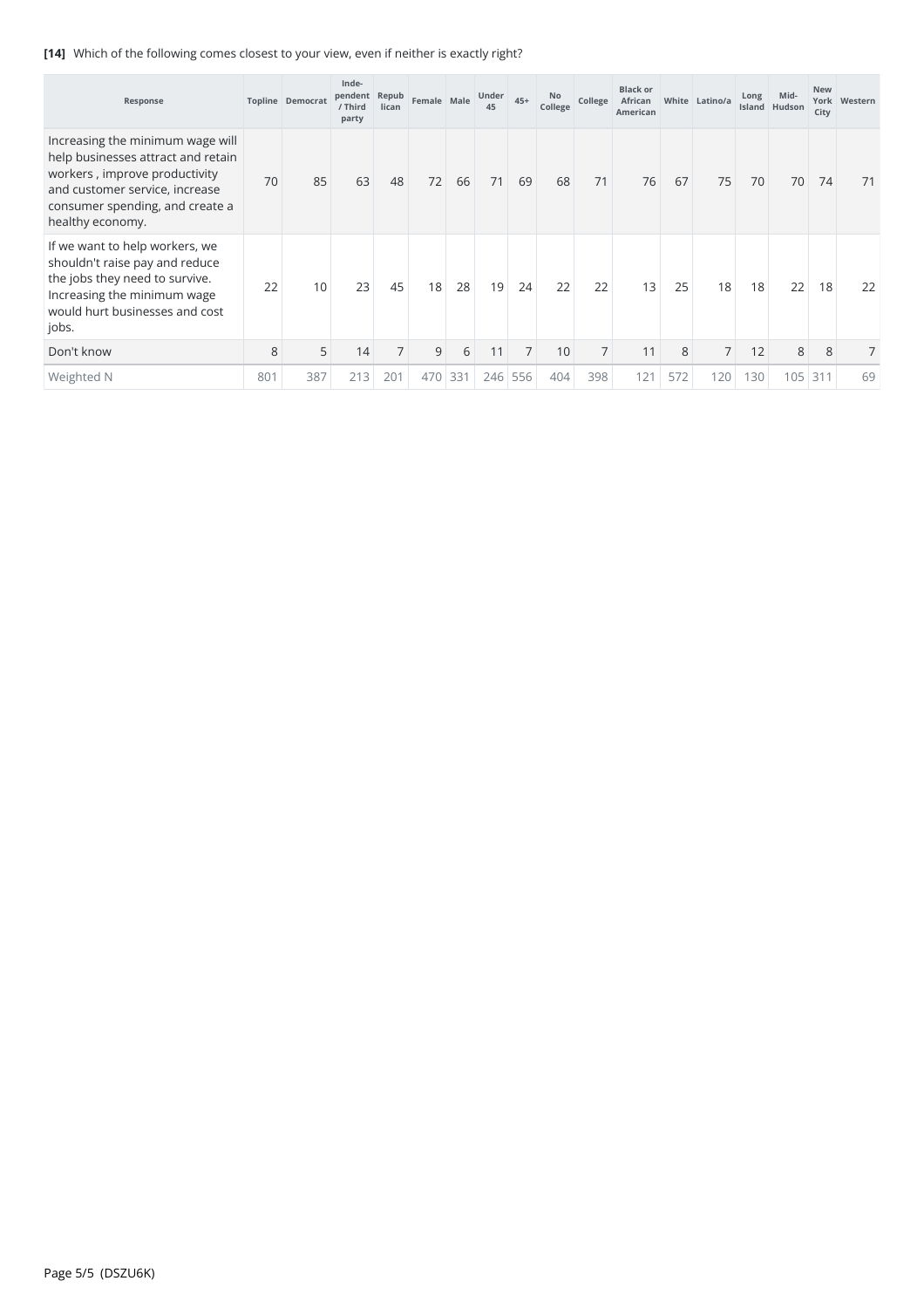## **[14]** Which of the following comes closest to your view, even if neither is exactly right?

| Response                                                                                                                                                                                         |     | <b>Topline Democrat</b> | Inde-<br>pendent Repub<br>/ Third<br>party | lican          | Female Male |     | Under<br>45 | $45+$          | No<br>College | College        | <b>Black or</b><br>African<br>American |     | White Latino/a | Long | Mid-<br>Island Hudson | <b>New</b><br>City | York Western |
|--------------------------------------------------------------------------------------------------------------------------------------------------------------------------------------------------|-----|-------------------------|--------------------------------------------|----------------|-------------|-----|-------------|----------------|---------------|----------------|----------------------------------------|-----|----------------|------|-----------------------|--------------------|--------------|
| Increasing the minimum wage will<br>help businesses attract and retain<br>workers, improve productivity<br>and customer service, increase<br>consumer spending, and create a<br>healthy economy. | 70  | 85                      | 63                                         | 48             | 72          | 66  | 71          | 69             | 68            | 71             | 76                                     | 67  | 75             | 70   | 70                    | 74                 | 71           |
| If we want to help workers, we<br>shouldn't raise pay and reduce<br>the jobs they need to survive.<br>Increasing the minimum wage<br>would hurt businesses and cost<br>jobs.                     | 22  | 10                      | 23                                         | 45             | 18          | 28  | 19          | 24             | 22            | 22             | 13                                     | 25  | 18             | 18   | 22                    | 18                 | 22           |
| Don't know                                                                                                                                                                                       | 8   | 5                       | 14                                         | $\overline{7}$ | 9           | 6   | 11          | $\overline{7}$ | 10            | $\overline{7}$ | 11                                     | 8   | 7 <sup>1</sup> | 12   | 8                     | 8                  |              |
| Weighted N                                                                                                                                                                                       | 801 | 387                     | 213                                        | 201            | 470         | 331 | 246         | 556            | 404           | 398            | 121                                    | 572 | 120            | 130  | 105                   | 311                | 69           |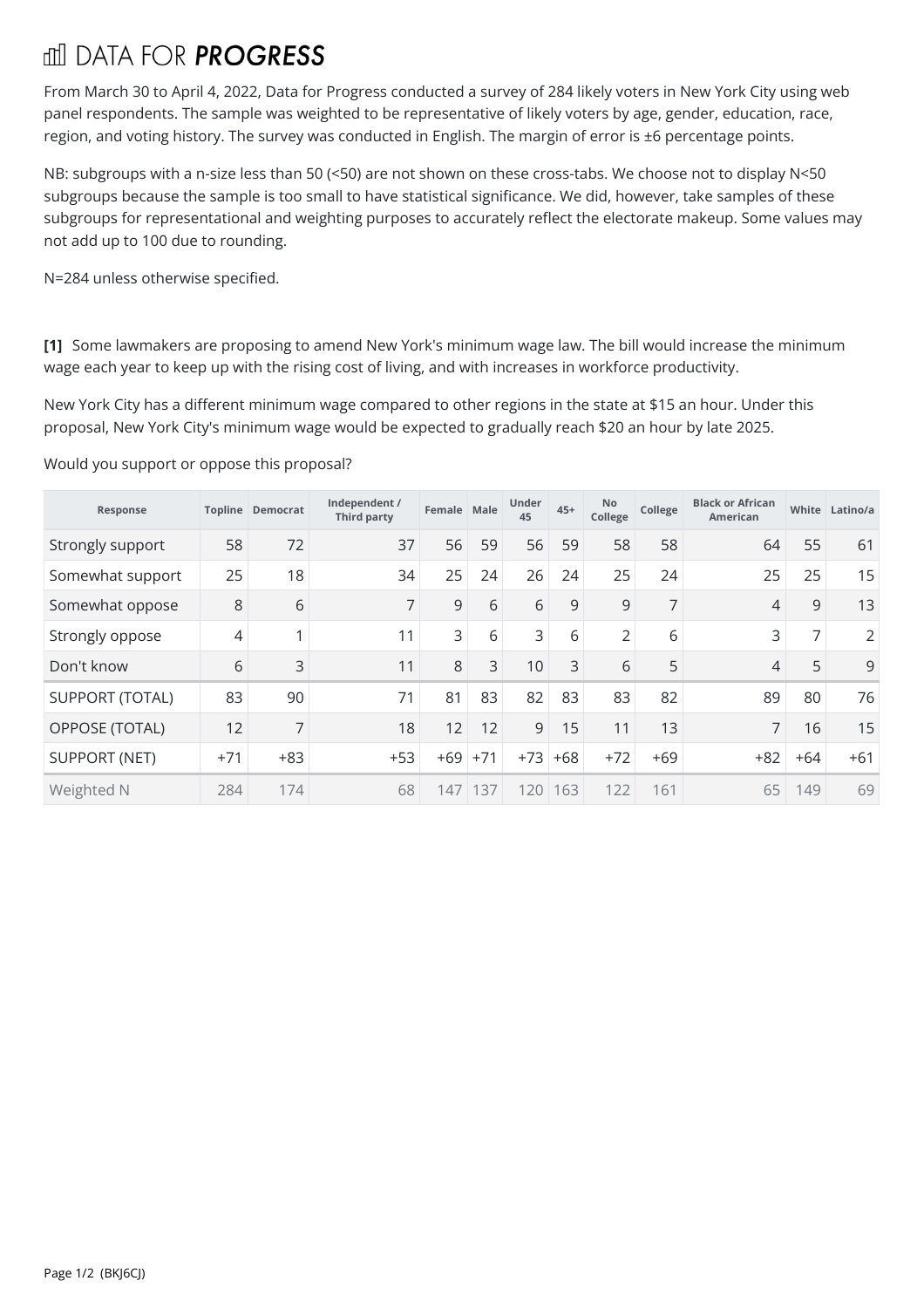# **THI DATA FOR PROGRESS**

From March 30 to April 4, 2022, Data for Progress conducted a survey of 284 likely voters in New York City using web panel respondents. The sample was weighted to be representative of likely voters by age, gender, education, race, region, and voting history. The survey was conducted in English. The margin of error is ±6 percentage points.

NB: subgroups with a n-size less than 50 (<50) are not shown on these cross-tabs. We choose not to display N<50 subgroups because the sample is too small to have statistical significance. We did, however, take samples of these subgroups for representational and weighting purposes to accurately reflect the electorate makeup. Some values may not add up to 100 due to rounding.

N=284 unless otherwise specified.

**[1]** Some lawmakers are proposing to amend New York's minimum wage law. The bill would increase the minimum wage each year to keep up with the rising cost of living, and with increases in workforce productivity.

New York City has a different minimum wage compared to other regions in the state at \$15 an hour. Under this proposal, New York City's minimum wage would be expected to gradually reach \$20 an hour by late 2025.<br>Would you support or oppose this proposal?

| Response               |       | <b>Topline Democrat</b>  | Independent /<br><b>Third party</b> | Female Male |       | Under<br>45 | $45+$ | No<br>College  | College        | <b>Black or African</b><br><b>American</b> |                | White Latino/a |
|------------------------|-------|--------------------------|-------------------------------------|-------------|-------|-------------|-------|----------------|----------------|--------------------------------------------|----------------|----------------|
| Strongly support       | 58    | 72                       | 37                                  | 56          | 59    | 56          | 59    | 58             | 58             | 64                                         | 55             | 61             |
| Somewhat support       | 25    | 18                       | 34                                  | 25          | 24    | 26          | 24    | 25             | 24             | 25                                         | 25             | 15             |
| Somewhat oppose        | 8     | 6                        | 7                                   | 9           | 6     | 6           | 9     | 9              | $\overline{7}$ | 4                                          | 9              | 13             |
| Strongly oppose        | 4     | $\overline{\phantom{a}}$ | 11                                  | 3           | 6     | 3           | 6     | $\overline{2}$ | 6              | 3                                          | $\overline{7}$ | $\overline{2}$ |
| Don't know             | 6     | 3                        | 11                                  | 8           | 3     | 10          | 3     | 6              | 5              | 4                                          | 5              | 9              |
| <b>SUPPORT (TOTAL)</b> | 83    | 90                       | 71                                  | 81          | 83    | 82          | 83    | 83             | 82             | 89                                         | 80             | 76             |
| OPPOSE (TOTAL)         | 12    | $\overline{7}$           | 18                                  | 12          | 12    | 9           | 15    | 11             | 13             | $\overline{7}$                             | 16             | 15             |
| <b>SUPPORT (NET)</b>   | $+71$ | $+83$                    | $+53$                               | $+69$       | $+71$ | $+73$       | $+68$ | $+72$          | $+69$          | $+82$                                      | $+64$          | $+61$          |
| Weighted N             | 284   | 174                      | 68                                  | 147         | 137   | 120         | 163   | 122            | 161            | 65                                         | 149            | 69             |